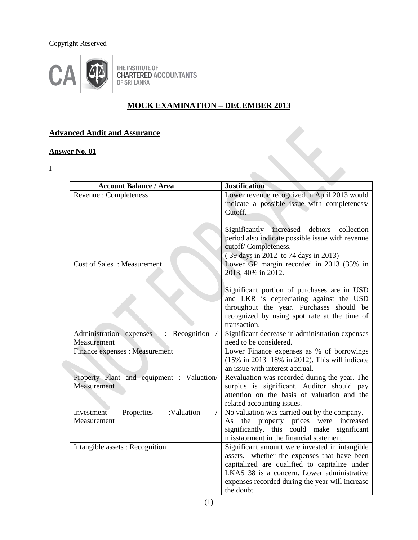## Copyright Reserved



THE INSTITUTE OF<br>CHARTERED ACCOUNTANTS<br>OF SRI LANKA

# **MOCK EXAMINATION – DECEMBER 2013**

# **Advanced Audit and Assurance**

## **Answer No. 01**

 $\blacksquare$ 

I

| <u>nced Audit and Assurance</u>                                     |                                                                                                  |
|---------------------------------------------------------------------|--------------------------------------------------------------------------------------------------|
| <u>er No. 01</u>                                                    |                                                                                                  |
|                                                                     |                                                                                                  |
|                                                                     |                                                                                                  |
| <b>Account Balance / Area</b>                                       | <b>Justification</b>                                                                             |
| Revenue: Completeness                                               | Lower revenue recognized in April 2013 would                                                     |
|                                                                     | indicate a possible issue with completeness/                                                     |
|                                                                     | Cutoff.                                                                                          |
|                                                                     |                                                                                                  |
|                                                                     | Significantly increased debtors collection                                                       |
|                                                                     | period also indicate possible issue with revenue                                                 |
|                                                                     | cutoff/Completeness.<br>(39 days in 2012 to 74 days in 2013)                                     |
| <b>Cost of Sales: Measurement</b>                                   | Lower GP margin recorded in 2013 (35% in                                                         |
|                                                                     | 2013, 40% in 2012.                                                                               |
|                                                                     |                                                                                                  |
|                                                                     | Significant portion of purchases are in USD                                                      |
|                                                                     | and LKR is depreciating against the USD                                                          |
|                                                                     | throughout the year. Purchases should be                                                         |
|                                                                     | recognized by using spot rate at the time of<br>transaction.                                     |
| Recognition<br>Administration expenses<br>$\mathbb{R}^{\mathbb{Z}}$ | Significant decrease in administration expenses                                                  |
| Measurement                                                         | need to be considered.                                                                           |
| Finance expenses : Measurement                                      | Lower Finance expenses as % of borrowings                                                        |
|                                                                     | (15% in 2013 18% in 2012). This will indicate                                                    |
|                                                                     | an issue with interest accrual.                                                                  |
| Property Plant and equipment : Valuation/<br>Measurement            | Revaluation was recorded during the year. The<br>surplus is significant. Auditor should pay      |
|                                                                     | attention on the basis of valuation and the                                                      |
|                                                                     | related accounting issues.                                                                       |
| :Valuation<br>Investment<br>Properties<br>$\sqrt{2}$                | No valuation was carried out by the company.                                                     |
| Measurement                                                         | As the property prices were increased                                                            |
|                                                                     | significantly, this could make significant                                                       |
|                                                                     | misstatement in the financial statement.                                                         |
| Intangible assets: Recognition                                      | Significant amount were invested in intangible<br>whether the expenses that have been<br>assets. |
|                                                                     | capitalized are qualified to capitalize under                                                    |
|                                                                     | LKAS 38 is a concern. Lower administrative                                                       |
|                                                                     | expenses recorded during the year will increase                                                  |
|                                                                     | the doubt.                                                                                       |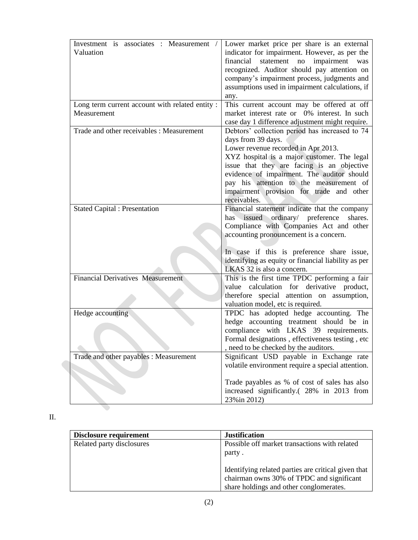| Lower market price per share is an external<br>indicator for impairment. However, as per the<br>Valuation<br>statement no impairment was<br>financial<br>recognized. Auditor should pay attention on<br>company's impairment process, judgments and<br>assumptions used in impairment calculations, if<br>any.<br>This current account may be offered at off<br>Long term current account with related entity :<br>Measurement<br>market interest rate or 0% interest. In such<br>case day 1 difference adjustment might require.<br>Trade and other receivables : Measurement<br>Debtors' collection period has increased to 74<br>days from 39 days.<br>Lower revenue recorded in Apr 2013.<br>XYZ hospital is a major customer. The legal<br>issue that they are facing is an objective<br>evidence of impairment. The auditor should<br>pay his attention to the measurement of<br>impairment provision for trade and other<br>receivables.<br><b>Stated Capital : Presentation</b><br>Financial statement indicate that the company<br>has issued ordinary/ preference<br>shares.<br>Compliance with Companies Act and other<br>accounting pronouncement is a concern.<br>In case if this is preference share issue,<br>identifying as equity or financial liability as per<br>LKAS 32 is also a concern.<br><b>Financial Derivatives Measurement</b><br>This is the first time TPDC performing a fair<br>value calculation for derivative product,<br>therefore special attention on assumption,<br>valuation model, etc is required.<br>TPDC has adopted hedge accounting. The<br>Hedge accounting<br>hedge accounting treatment should be in<br>compliance with LKAS 39 requirements.<br>Formal designations, effectiveness testing, etc<br>, need to be checked by the auditors. |                                          |                                          |
|-------------------------------------------------------------------------------------------------------------------------------------------------------------------------------------------------------------------------------------------------------------------------------------------------------------------------------------------------------------------------------------------------------------------------------------------------------------------------------------------------------------------------------------------------------------------------------------------------------------------------------------------------------------------------------------------------------------------------------------------------------------------------------------------------------------------------------------------------------------------------------------------------------------------------------------------------------------------------------------------------------------------------------------------------------------------------------------------------------------------------------------------------------------------------------------------------------------------------------------------------------------------------------------------------------------------------------------------------------------------------------------------------------------------------------------------------------------------------------------------------------------------------------------------------------------------------------------------------------------------------------------------------------------------------------------------------------------------------------------------------------------------------------------------|------------------------------------------|------------------------------------------|
|                                                                                                                                                                                                                                                                                                                                                                                                                                                                                                                                                                                                                                                                                                                                                                                                                                                                                                                                                                                                                                                                                                                                                                                                                                                                                                                                                                                                                                                                                                                                                                                                                                                                                                                                                                                           | Investment is associates : Measurement / |                                          |
|                                                                                                                                                                                                                                                                                                                                                                                                                                                                                                                                                                                                                                                                                                                                                                                                                                                                                                                                                                                                                                                                                                                                                                                                                                                                                                                                                                                                                                                                                                                                                                                                                                                                                                                                                                                           |                                          |                                          |
|                                                                                                                                                                                                                                                                                                                                                                                                                                                                                                                                                                                                                                                                                                                                                                                                                                                                                                                                                                                                                                                                                                                                                                                                                                                                                                                                                                                                                                                                                                                                                                                                                                                                                                                                                                                           |                                          |                                          |
|                                                                                                                                                                                                                                                                                                                                                                                                                                                                                                                                                                                                                                                                                                                                                                                                                                                                                                                                                                                                                                                                                                                                                                                                                                                                                                                                                                                                                                                                                                                                                                                                                                                                                                                                                                                           |                                          |                                          |
|                                                                                                                                                                                                                                                                                                                                                                                                                                                                                                                                                                                                                                                                                                                                                                                                                                                                                                                                                                                                                                                                                                                                                                                                                                                                                                                                                                                                                                                                                                                                                                                                                                                                                                                                                                                           |                                          |                                          |
|                                                                                                                                                                                                                                                                                                                                                                                                                                                                                                                                                                                                                                                                                                                                                                                                                                                                                                                                                                                                                                                                                                                                                                                                                                                                                                                                                                                                                                                                                                                                                                                                                                                                                                                                                                                           |                                          |                                          |
|                                                                                                                                                                                                                                                                                                                                                                                                                                                                                                                                                                                                                                                                                                                                                                                                                                                                                                                                                                                                                                                                                                                                                                                                                                                                                                                                                                                                                                                                                                                                                                                                                                                                                                                                                                                           |                                          |                                          |
|                                                                                                                                                                                                                                                                                                                                                                                                                                                                                                                                                                                                                                                                                                                                                                                                                                                                                                                                                                                                                                                                                                                                                                                                                                                                                                                                                                                                                                                                                                                                                                                                                                                                                                                                                                                           |                                          |                                          |
|                                                                                                                                                                                                                                                                                                                                                                                                                                                                                                                                                                                                                                                                                                                                                                                                                                                                                                                                                                                                                                                                                                                                                                                                                                                                                                                                                                                                                                                                                                                                                                                                                                                                                                                                                                                           |                                          |                                          |
|                                                                                                                                                                                                                                                                                                                                                                                                                                                                                                                                                                                                                                                                                                                                                                                                                                                                                                                                                                                                                                                                                                                                                                                                                                                                                                                                                                                                                                                                                                                                                                                                                                                                                                                                                                                           |                                          |                                          |
|                                                                                                                                                                                                                                                                                                                                                                                                                                                                                                                                                                                                                                                                                                                                                                                                                                                                                                                                                                                                                                                                                                                                                                                                                                                                                                                                                                                                                                                                                                                                                                                                                                                                                                                                                                                           |                                          |                                          |
|                                                                                                                                                                                                                                                                                                                                                                                                                                                                                                                                                                                                                                                                                                                                                                                                                                                                                                                                                                                                                                                                                                                                                                                                                                                                                                                                                                                                                                                                                                                                                                                                                                                                                                                                                                                           |                                          |                                          |
|                                                                                                                                                                                                                                                                                                                                                                                                                                                                                                                                                                                                                                                                                                                                                                                                                                                                                                                                                                                                                                                                                                                                                                                                                                                                                                                                                                                                                                                                                                                                                                                                                                                                                                                                                                                           |                                          |                                          |
|                                                                                                                                                                                                                                                                                                                                                                                                                                                                                                                                                                                                                                                                                                                                                                                                                                                                                                                                                                                                                                                                                                                                                                                                                                                                                                                                                                                                                                                                                                                                                                                                                                                                                                                                                                                           |                                          |                                          |
|                                                                                                                                                                                                                                                                                                                                                                                                                                                                                                                                                                                                                                                                                                                                                                                                                                                                                                                                                                                                                                                                                                                                                                                                                                                                                                                                                                                                                                                                                                                                                                                                                                                                                                                                                                                           |                                          |                                          |
|                                                                                                                                                                                                                                                                                                                                                                                                                                                                                                                                                                                                                                                                                                                                                                                                                                                                                                                                                                                                                                                                                                                                                                                                                                                                                                                                                                                                                                                                                                                                                                                                                                                                                                                                                                                           |                                          |                                          |
|                                                                                                                                                                                                                                                                                                                                                                                                                                                                                                                                                                                                                                                                                                                                                                                                                                                                                                                                                                                                                                                                                                                                                                                                                                                                                                                                                                                                                                                                                                                                                                                                                                                                                                                                                                                           |                                          |                                          |
|                                                                                                                                                                                                                                                                                                                                                                                                                                                                                                                                                                                                                                                                                                                                                                                                                                                                                                                                                                                                                                                                                                                                                                                                                                                                                                                                                                                                                                                                                                                                                                                                                                                                                                                                                                                           |                                          |                                          |
|                                                                                                                                                                                                                                                                                                                                                                                                                                                                                                                                                                                                                                                                                                                                                                                                                                                                                                                                                                                                                                                                                                                                                                                                                                                                                                                                                                                                                                                                                                                                                                                                                                                                                                                                                                                           |                                          |                                          |
|                                                                                                                                                                                                                                                                                                                                                                                                                                                                                                                                                                                                                                                                                                                                                                                                                                                                                                                                                                                                                                                                                                                                                                                                                                                                                                                                                                                                                                                                                                                                                                                                                                                                                                                                                                                           |                                          |                                          |
|                                                                                                                                                                                                                                                                                                                                                                                                                                                                                                                                                                                                                                                                                                                                                                                                                                                                                                                                                                                                                                                                                                                                                                                                                                                                                                                                                                                                                                                                                                                                                                                                                                                                                                                                                                                           |                                          |                                          |
|                                                                                                                                                                                                                                                                                                                                                                                                                                                                                                                                                                                                                                                                                                                                                                                                                                                                                                                                                                                                                                                                                                                                                                                                                                                                                                                                                                                                                                                                                                                                                                                                                                                                                                                                                                                           |                                          |                                          |
|                                                                                                                                                                                                                                                                                                                                                                                                                                                                                                                                                                                                                                                                                                                                                                                                                                                                                                                                                                                                                                                                                                                                                                                                                                                                                                                                                                                                                                                                                                                                                                                                                                                                                                                                                                                           |                                          |                                          |
|                                                                                                                                                                                                                                                                                                                                                                                                                                                                                                                                                                                                                                                                                                                                                                                                                                                                                                                                                                                                                                                                                                                                                                                                                                                                                                                                                                                                                                                                                                                                                                                                                                                                                                                                                                                           |                                          |                                          |
|                                                                                                                                                                                                                                                                                                                                                                                                                                                                                                                                                                                                                                                                                                                                                                                                                                                                                                                                                                                                                                                                                                                                                                                                                                                                                                                                                                                                                                                                                                                                                                                                                                                                                                                                                                                           |                                          |                                          |
|                                                                                                                                                                                                                                                                                                                                                                                                                                                                                                                                                                                                                                                                                                                                                                                                                                                                                                                                                                                                                                                                                                                                                                                                                                                                                                                                                                                                                                                                                                                                                                                                                                                                                                                                                                                           |                                          |                                          |
|                                                                                                                                                                                                                                                                                                                                                                                                                                                                                                                                                                                                                                                                                                                                                                                                                                                                                                                                                                                                                                                                                                                                                                                                                                                                                                                                                                                                                                                                                                                                                                                                                                                                                                                                                                                           |                                          |                                          |
|                                                                                                                                                                                                                                                                                                                                                                                                                                                                                                                                                                                                                                                                                                                                                                                                                                                                                                                                                                                                                                                                                                                                                                                                                                                                                                                                                                                                                                                                                                                                                                                                                                                                                                                                                                                           |                                          |                                          |
|                                                                                                                                                                                                                                                                                                                                                                                                                                                                                                                                                                                                                                                                                                                                                                                                                                                                                                                                                                                                                                                                                                                                                                                                                                                                                                                                                                                                                                                                                                                                                                                                                                                                                                                                                                                           |                                          |                                          |
|                                                                                                                                                                                                                                                                                                                                                                                                                                                                                                                                                                                                                                                                                                                                                                                                                                                                                                                                                                                                                                                                                                                                                                                                                                                                                                                                                                                                                                                                                                                                                                                                                                                                                                                                                                                           | Trade and other payables : Measurement   | Significant USD payable in Exchange rate |
|                                                                                                                                                                                                                                                                                                                                                                                                                                                                                                                                                                                                                                                                                                                                                                                                                                                                                                                                                                                                                                                                                                                                                                                                                                                                                                                                                                                                                                                                                                                                                                                                                                                                                                                                                                                           |                                          |                                          |
| volatile environment require a special attention.                                                                                                                                                                                                                                                                                                                                                                                                                                                                                                                                                                                                                                                                                                                                                                                                                                                                                                                                                                                                                                                                                                                                                                                                                                                                                                                                                                                                                                                                                                                                                                                                                                                                                                                                         |                                          |                                          |
| Trade payables as % of cost of sales has also                                                                                                                                                                                                                                                                                                                                                                                                                                                                                                                                                                                                                                                                                                                                                                                                                                                                                                                                                                                                                                                                                                                                                                                                                                                                                                                                                                                                                                                                                                                                                                                                                                                                                                                                             |                                          |                                          |
| increased significantly. (28% in 2013 from                                                                                                                                                                                                                                                                                                                                                                                                                                                                                                                                                                                                                                                                                                                                                                                                                                                                                                                                                                                                                                                                                                                                                                                                                                                                                                                                                                                                                                                                                                                                                                                                                                                                                                                                                |                                          |                                          |
| 23% in 2012)                                                                                                                                                                                                                                                                                                                                                                                                                                                                                                                                                                                                                                                                                                                                                                                                                                                                                                                                                                                                                                                                                                                                                                                                                                                                                                                                                                                                                                                                                                                                                                                                                                                                                                                                                                              |                                          |                                          |

II.

 $\overline{\phantom{0}}$ 

| Disclosure requirement    | <b>Justification</b>                                                                                                                        |
|---------------------------|---------------------------------------------------------------------------------------------------------------------------------------------|
| Related party disclosures | Possible off market transactions with related                                                                                               |
|                           | party.                                                                                                                                      |
|                           | Identifying related parties are critical given that<br>chairman owns 30% of TPDC and significant<br>share holdings and other conglomerates. |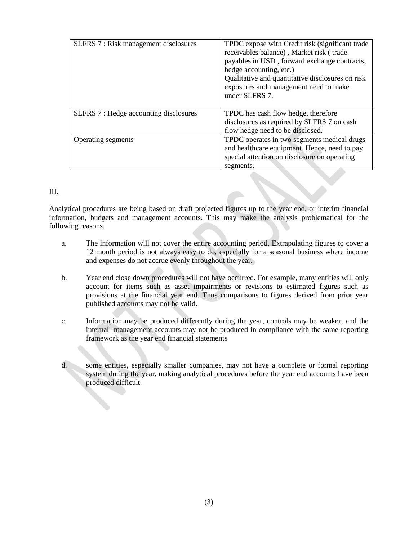| SLFRS 7 : Risk management disclosures  | TPDC expose with Credit risk (significant trade<br>receivables balance), Market risk (trade<br>payables in USD, forward exchange contracts,<br>hedge accounting, etc.)<br>Qualitative and quantitative disclosures on risk<br>exposures and management need to make<br>under SLFRS 7. |
|----------------------------------------|---------------------------------------------------------------------------------------------------------------------------------------------------------------------------------------------------------------------------------------------------------------------------------------|
| SLFRS 7 : Hedge accounting disclosures | TPDC has cash flow hedge, therefore<br>disclosures as required by SLFRS 7 on cash<br>flow hedge need to be disclosed.                                                                                                                                                                 |
| Operating segments                     | TPDC operates in two segments medical drugs<br>and healthcare equipment. Hence, need to pay<br>special attention on disclosure on operating<br>segments.                                                                                                                              |

## III.

Analytical procedures are being based on draft projected figures up to the year end, or interim financial information, budgets and management accounts. This may make the analysis problematical for the following reasons.

- a. The information will not cover the entire accounting period. Extrapolating figures to cover a 12 month period is not always easy to do, especially for a seasonal business where income and expenses do not accrue evenly throughout the year.
- b. Year end close down procedures will not have occurred. For example, many entities will only account for items such as asset impairments or revisions to estimated figures such as provisions at the financial year end. Thus comparisons to figures derived from prior year published accounts may not be valid.
- c. Information may be produced differently during the year, controls may be weaker, and the internal management accounts may not be produced in compliance with the same reporting framework as the year end financial statements
- d. some entities, especially smaller companies, may not have a complete or formal reporting system during the year, making analytical procedures before the year end accounts have been produced difficult.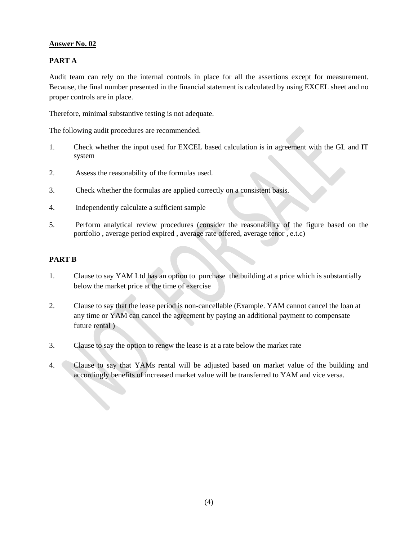## **PART A**

Audit team can rely on the internal controls in place for all the assertions except for measurement. Because, the final number presented in the financial statement is calculated by using EXCEL sheet and no proper controls are in place.

Therefore, minimal substantive testing is not adequate.

The following audit procedures are recommended.

- 1. Check whether the input used for EXCEL based calculation is in agreement with the GL and IT system
- 2. Assess the reasonability of the formulas used.
- 3. Check whether the formulas are applied correctly on a consistent basis.
- 4. Independently calculate a sufficient sample
- 5. Perform analytical review procedures (consider the reasonability of the figure based on the portfolio , average period expired , average rate offered, average tenor , e.t.c)

#### **PART B**

- 1. Clause to say YAM Ltd has an option to purchase the building at a price which is substantially below the market price at the time of exercise
- 2. Clause to say that the lease period is non-cancellable (Example. YAM cannot cancel the loan at any time or YAM can cancel the agreement by paying an additional payment to compensate future rental )
- 3. Clause to say the option to renew the lease is at a rate below the market rate
- 4. Clause to say that YAMs rental will be adjusted based on market value of the building and accordingly benefits of increased market value will be transferred to YAM and vice versa.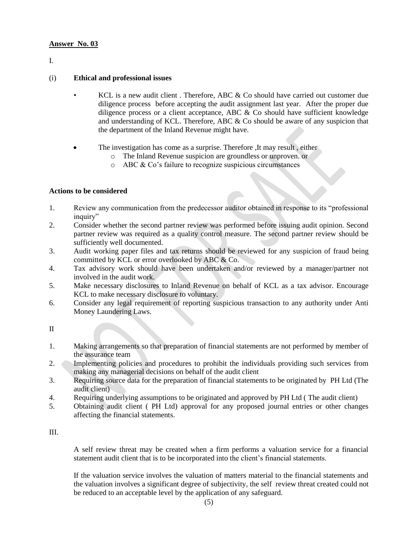I.

## (i) **Ethical and professional issues**

- KCL is a new audit client. Therefore, ABC  $\&$  Co should have carried out customer due diligence process before accepting the audit assignment last year. After the proper due diligence process or a client acceptance, ABC & Co should have sufficient knowledge and understanding of KCL. Therefore, ABC  $&$  Co should be aware of any suspicion that the department of the Inland Revenue might have.
- The investigation has come as a surprise. Therefore ,It may result , either
	- o The Inland Revenue suspicion are groundless or unproven. or
	- o ABC & Co's failure to recognize suspicious circumstances

## **Actions to be considered**

- 1. Review any communication from the predecessor auditor obtained in response to its "professional inquiry"
- 2. Consider whether the second partner review was performed before issuing audit opinion. Second partner review was required as a quality control measure. The second partner review should be sufficiently well documented.
- 3. Audit working paper files and tax returns should be reviewed for any suspicion of fraud being committed by KCL or error overlooked by ABC & Co.
- 4. Tax advisory work should have been undertaken and/or reviewed by a manager/partner not involved in the audit work.
- 5. Make necessary disclosures to Inland Revenue on behalf of KCL as a tax advisor. Encourage KCL to make necessary disclosure to voluntary.
- 6. Consider any legal requirement of reporting suspicious transaction to any authority under Anti Money Laundering Laws.

II

- 1. Making arrangements so that preparation of financial statements are not performed by member of the assurance team
- 2. Implementing policies and procedures to prohibit the individuals providing such services from making any managerial decisions on behalf of the audit client
- 3. Requiring source data for the preparation of financial statements to be originated by PH Ltd (The audit client)
- 4. Requiring underlying assumptions to be originated and approved by PH Ltd ( The audit client)
- 5. Obtaining audit client ( PH Ltd) approval for any proposed journal entries or other changes affecting the financial statements.

III.

A self review threat may be created when a firm performs a valuation service for a financial statement audit client that is to be incorporated into the client's financial statements.

If the valuation service involves the valuation of matters material to the financial statements and the valuation involves a significant degree of subjectivity, the self review threat created could not be reduced to an acceptable level by the application of any safeguard.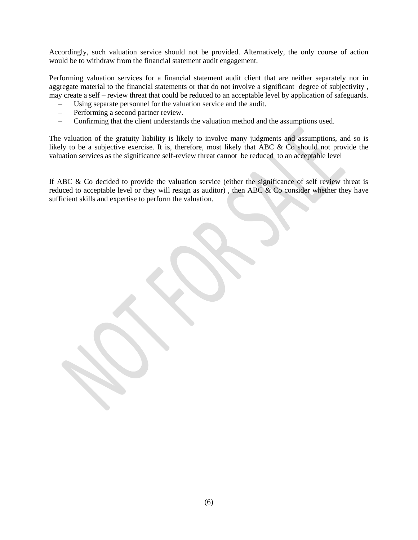Accordingly, such valuation service should not be provided. Alternatively, the only course of action would be to withdraw from the financial statement audit engagement.

Performing valuation services for a financial statement audit client that are neither separately nor in aggregate material to the financial statements or that do not involve a significant degree of subjectivity , may create a self – review threat that could be reduced to an acceptable level by application of safeguards.

- Using separate personnel for the valuation service and the audit.
- Performing a second partner review.
- Confirming that the client understands the valuation method and the assumptions used.

The valuation of the gratuity liability is likely to involve many judgments and assumptions, and so is likely to be a subjective exercise. It is, therefore, most likely that ABC & Co should not provide the valuation services as the significance self-review threat cannot be reduced to an acceptable level

If ABC & Co decided to provide the valuation service (either the significance of self review threat is reduced to acceptable level or they will resign as auditor) , then ABC & Co consider whether they have sufficient skills and expertise to perform the valuation.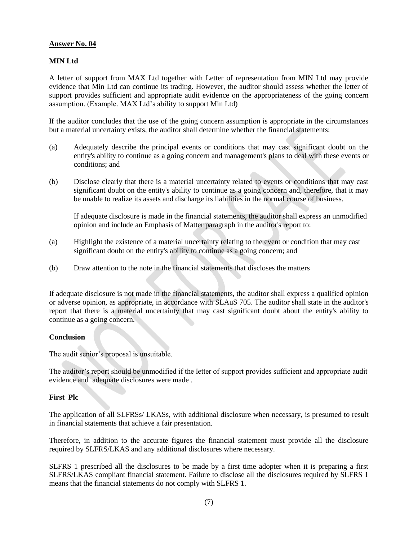#### **MIN Ltd**

A letter of support from MAX Ltd together with Letter of representation from MIN Ltd may provide evidence that Min Ltd can continue its trading. However, the auditor should assess whether the letter of support provides sufficient and appropriate audit evidence on the appropriateness of the going concern assumption. (Example. MAX Ltd's ability to support Min Ltd)

If the auditor concludes that the use of the going concern assumption is appropriate in the circumstances but a material uncertainty exists, the auditor shall determine whether the financial statements:

- (a) Adequately describe the principal events or conditions that may cast significant doubt on the entity's ability to continue as a going concern and management's plans to deal with these events or conditions; and
- (b) Disclose clearly that there is a material uncertainty related to events or conditions that may cast significant doubt on the entity's ability to continue as a going concern and, therefore, that it may be unable to realize its assets and discharge its liabilities in the normal course of business.

If adequate disclosure is made in the financial statements, the auditor shall express an unmodified opinion and include an Emphasis of Matter paragraph in the auditor's report to:

- (a) Highlight the existence of a material uncertainty relating to the event or condition that may cast significant doubt on the entity's ability to continue as a going concern; and
- (b) Draw attention to the note in the financial statements that discloses the matters

If adequate disclosure is not made in the financial statements, the auditor shall express a qualified opinion or adverse opinion, as appropriate, in accordance with SLAuS 705. The auditor shall state in the auditor's report that there is a material uncertainty that may cast significant doubt about the entity's ability to continue as a going concern.

#### **Conclusion**

The audit senior's proposal is unsuitable.

The auditor's report should be unmodified if the letter of support provides sufficient and appropriate audit evidence and adequate disclosures were made .

#### **First Plc**

The application of all SLFRSs/ LKASs, with additional disclosure when necessary, is presumed to result in financial statements that achieve a fair presentation.

Therefore, in addition to the accurate figures the financial statement must provide all the disclosure required by SLFRS/LKAS and any additional disclosures where necessary.

SLFRS 1 prescribed all the disclosures to be made by a first time adopter when it is preparing a first SLFRS/LKAS compliant financial statement. Failure to disclose all the disclosures required by SLFRS 1 means that the financial statements do not comply with SLFRS 1.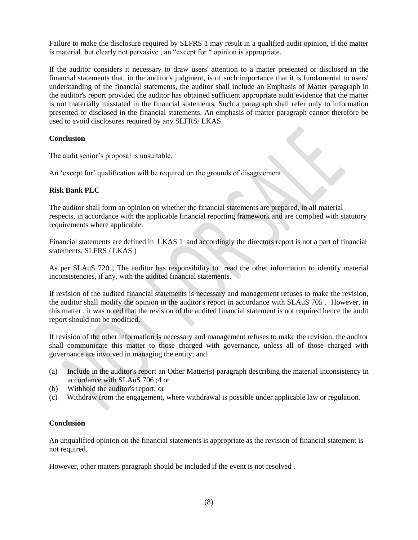Failure to make the disclosure required by SLFRS 1 may result in a qualified audit opinion, If the matter is material but clearly not pervasive , an "except for " opinion is appropriate.

If the auditor considers it necessary to draw users' attention to a matter presented or disclosed in the financial statements that, in the auditor's judgment, is of such importance that it is fundamental to users' understanding of the financial statements, the auditor shall include an Emphasis of Matter paragraph in the auditor's report provided the auditor has obtained sufficient appropriate audit evidence that the matter is not materially misstated in the financial statements. Such a paragraph shall refer only to information presented or disclosed in the financial statements. An emphasis of matter paragraph cannot therefore be used to avoid disclosures required by any SLFRS/ LKAS.

## **Conclusion**

The audit senior's proposal is unsuitable.

An 'except for' qualification will be required on the grounds of disagreement.

## **Risk Bank PLC**

The auditor shall form an opinion on whether the financial statements are prepared, in all material respects, in accordance with the applicable financial reporting framework and are complied with statutory requirements where applicable.

Financial statements are defined in LKAS 1 and accordingly the directors report is not a part of financial statements. SLFRS / LKAS )

As per SLAuS 720 , The auditor has responsibility to read the other information to identify material inconsistencies, if any, with the audited financial statements.

If revision of the audited financial statements is necessary and management refuses to make the revision, the auditor shall modify the opinion in the auditor's report in accordance with SLAuS 705 . However, in this matter , it was noted that the revision of the audited financial statement is not required hence the audit report should not be modified.

If revision of the other information is necessary and management refuses to make the revision, the auditor shall communicate this matter to those charged with governance, unless all of those charged with governance are involved in managing the entity; and

- (a) Include in the auditor's report an Other Matter(s) paragraph describing the material inconsistency in accordance with SLAuS 706 [;4](javascript:void(0);) or
- (b) Withhold the auditor's report; or
- (c) Withdraw from the engagement, where withdrawal is possible under applicable law or regulation.

## **Conclusion**

An unqualified opinion on the financial statements is appropriate as the revision of financial statement is not required.

However, other matters paragraph should be included if the event is not resolved .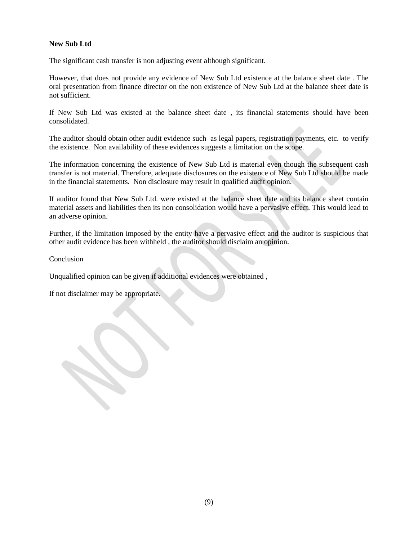#### **New Sub Ltd**

The significant cash transfer is non adjusting event although significant.

However, that does not provide any evidence of New Sub Ltd existence at the balance sheet date . The oral presentation from finance director on the non existence of New Sub Ltd at the balance sheet date is not sufficient.

If New Sub Ltd was existed at the balance sheet date , its financial statements should have been consolidated.

The auditor should obtain other audit evidence such as legal papers, registration payments, etc. to verify the existence. Non availability of these evidences suggests a limitation on the scope.

The information concerning the existence of New Sub Ltd is material even though the subsequent cash transfer is not material. Therefore, adequate disclosures on the existence of New Sub Ltd should be made in the financial statements. Non disclosure may result in qualified audit opinion.

If auditor found that New Sub Ltd. were existed at the balance sheet date and its balance sheet contain material assets and liabilities then its non consolidation would have a pervasive effect. This would lead to an adverse opinion.

Further, if the limitation imposed by the entity have a pervasive effect and the auditor is suspicious that other audit evidence has been withheld , the auditor should disclaim an opinion.

Conclusion

Unqualified opinion can be given if additional evidences were obtained ,

If not disclaimer may be appropriate.